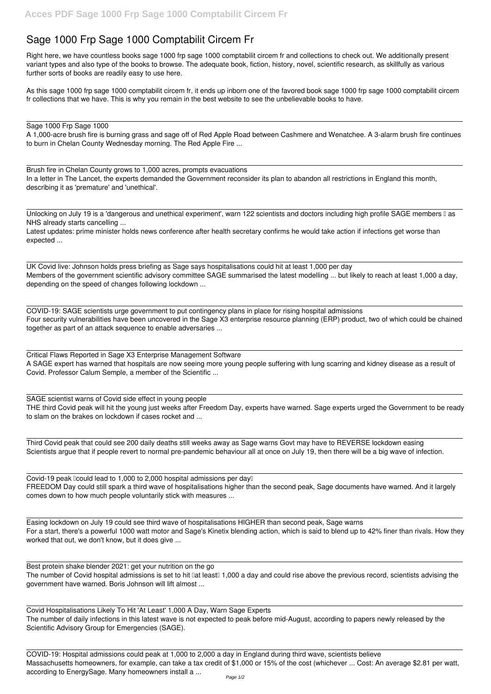## **Sage 1000 Frp Sage 1000 Comptabilit Circem Fr**

Right here, we have countless books **sage 1000 frp sage 1000 comptabilit circem fr** and collections to check out. We additionally present variant types and also type of the books to browse. The adequate book, fiction, history, novel, scientific research, as skillfully as various further sorts of books are readily easy to use here.

As this sage 1000 frp sage 1000 comptabilit circem fr, it ends up inborn one of the favored book sage 1000 frp sage 1000 comptabilit circem fr collections that we have. This is why you remain in the best website to see the unbelievable books to have.

Unlocking on July 19 is a 'dangerous and unethical experiment', warn 122 scientists and doctors including high profile SAGE members I as NHS already starts cancelling ...

## Sage 1000 Frp Sage 1000

A 1,000-acre brush fire is burning grass and sage off of Red Apple Road between Cashmere and Wenatchee. A 3-alarm brush fire continues to burn in Chelan County Wednesday morning. The Red Apple Fire ...

Brush fire in Chelan County grows to 1,000 acres, prompts evacuations In a letter in The Lancet, the experts demanded the Government reconsider its plan to abandon all restrictions in England this month, describing it as 'premature' and 'unethical'.

Latest updates: prime minister holds news conference after health secretary confirms he would take action if infections get worse than expected ...

Covid-19 peak  $Cov$  lead to 1,000 to 2,000 hospital admissions per day $Cov$ FREEDOM Day could still spark a third wave of hospitalisations higher than the second peak, Sage documents have warned. And it largely comes down to how much people voluntarily stick with measures ...

UK Covid live: Johnson holds press briefing as Sage says hospitalisations could hit at least 1,000 per day Members of the government scientific advisory committee SAGE summarised the latest modelling ... but likely to reach at least 1,000 a day, depending on the speed of changes following lockdown ...

COVID-19: SAGE scientists urge government to put contingency plans in place for rising hospital admissions Four security vulnerabilities have been uncovered in the Sage X3 enterprise resource planning (ERP) product, two of which could be chained together as part of an attack sequence to enable adversaries ...

Critical Flaws Reported in Sage X3 Enterprise Management Software A SAGE expert has warned that hospitals are now seeing more young people suffering with lung scarring and kidney disease as a result of Covid. Professor Calum Semple, a member of the Scientific ...

SAGE scientist warns of Covid side effect in young people THE third Covid peak will hit the young just weeks after Freedom Day, experts have warned. Sage experts urged the Government to be ready to slam on the brakes on lockdown if cases rocket and ...

Third Covid peak that could see 200 daily deaths still weeks away as Sage warns Govt may have to REVERSE lockdown easing Scientists argue that if people revert to normal pre-pandemic behaviour all at once on July 19, then there will be a big wave of infection.

Easing lockdown on July 19 could see third wave of hospitalisations HIGHER than second peak, Sage warns

For a start, there's a powerful 1000 watt motor and Sage's Kinetix blending action, which is said to blend up to 42% finer than rivals. How they worked that out, we don't know, but it does give ...

Best protein shake blender 2021: get your nutrition on the go The number of Covid hospital admissions is set to hit lat least 1,000 a day and could rise above the previous record, scientists advising the government have warned. Boris Johnson will lift almost ...

Covid Hospitalisations Likely To Hit 'At Least' 1,000 A Day, Warn Sage Experts The number of daily infections in this latest wave is not expected to peak before mid-August, according to papers newly released by the Scientific Advisory Group for Emergencies (SAGE).

COVID-19: Hospital admissions could peak at 1,000 to 2,000 a day in England during third wave, scientists believe Massachusetts homeowners, for example, can take a tax credit of \$1,000 or 15% of the cost (whichever ... Cost: An average \$2.81 per watt, according to EnergySage. Many homeowners install a ...